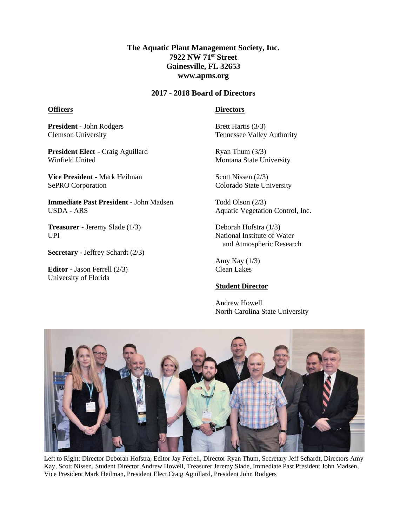## **The Aquatic Plant Management Society, Inc. 7922 NW 71st Street Gainesville, FL 32653 www.apms.org**

## **2017 - 2018 Board of Directors**

### **Officers**

**President -** John Rodgers Clemson University

**President Elect -** Craig Aguillard Winfield United

**Vice President -** Mark Heilman SePRO Corporation

**Immediate Past President -** John Madsen USDA - ARS

**Treasurer -** Jeremy Slade (1/3) UPI

**Secretary -** Jeffrey Schardt (2/3)

**Editor -** Jason Ferrell (2/3) University of Florida

## **Directors**

Brett Hartis (3/3) Tennessee Valley Authority

Ryan Thum (3/3) Montana State University

Scott Nissen (2/3) Colorado State University

Todd Olson (2/3) Aquatic Vegetation Control, Inc.

Deborah Hofstra (1/3) National Institute of Water and Atmospheric Research

Amy Kay (1/3) Clean Lakes

### **Student Director**

Andrew Howell North Carolina State University



Left to Right: Director Deborah Hofstra, Editor Jay Ferrell, Director Ryan Thum, Secretary Jeff Schardt, Directors Amy Kay, Scott Nissen, Student Director Andrew Howell, Treasurer Jeremy Slade, Immediate Past President John Madsen, Vice President Mark Heilman, President Elect Craig Aguillard, President John Rodgers